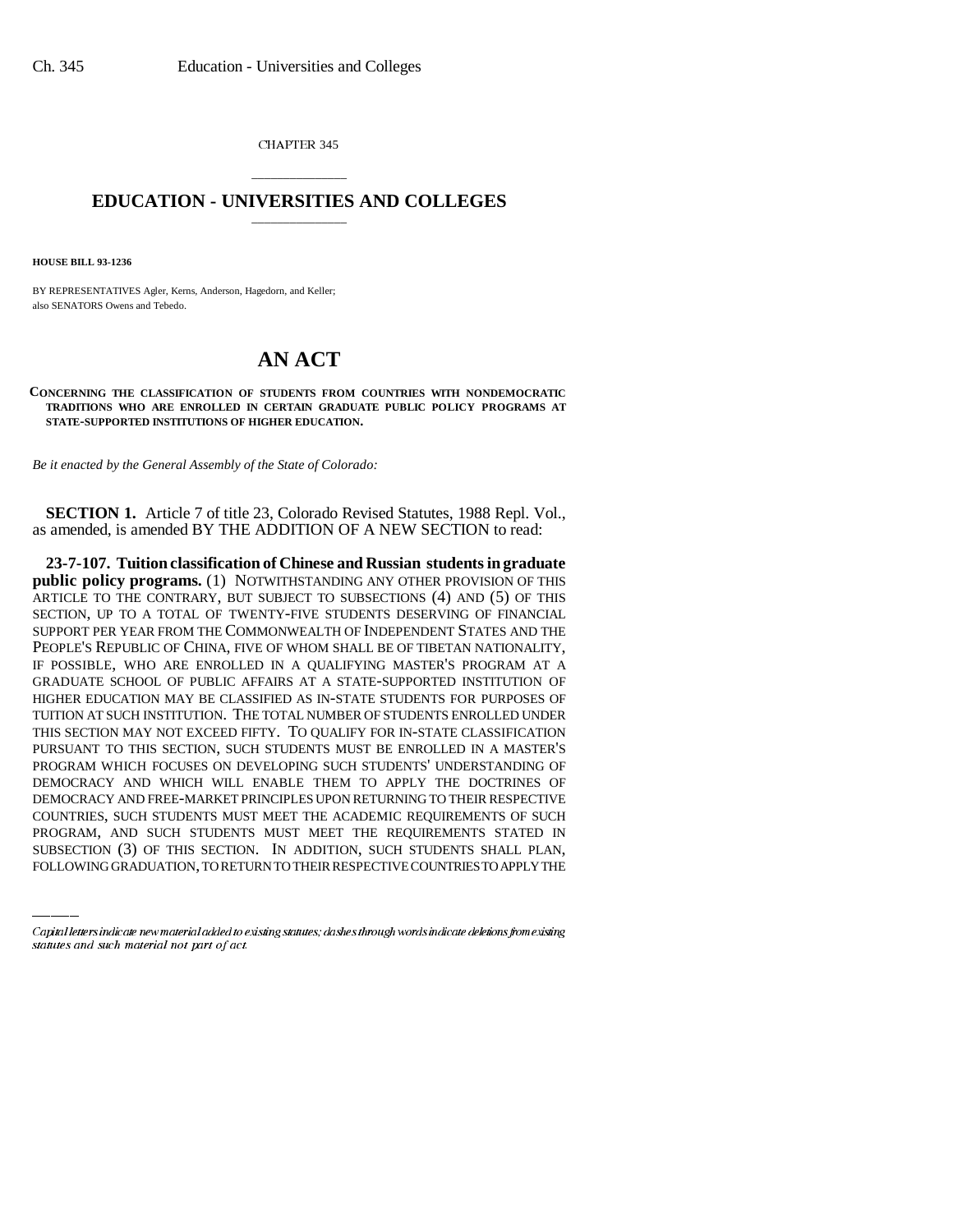CHAPTER 345

## \_\_\_\_\_\_\_\_\_\_\_\_\_\_\_ **EDUCATION - UNIVERSITIES AND COLLEGES** \_\_\_\_\_\_\_\_\_\_\_\_\_\_\_

**HOUSE BILL 93-1236**

BY REPRESENTATIVES Agler, Kerns, Anderson, Hagedorn, and Keller; also SENATORS Owens and Tebedo.

## **AN ACT**

**CONCERNING THE CLASSIFICATION OF STUDENTS FROM COUNTRIES WITH NONDEMOCRATIC TRADITIONS WHO ARE ENROLLED IN CERTAIN GRADUATE PUBLIC POLICY PROGRAMS AT STATE-SUPPORTED INSTITUTIONS OF HIGHER EDUCATION.**

*Be it enacted by the General Assembly of the State of Colorado:*

**SECTION 1.** Article 7 of title 23, Colorado Revised Statutes, 1988 Repl. Vol., as amended, is amended BY THE ADDITION OF A NEW SECTION to read:

DEMOCRACY AND FREE-MARKET PRINCIPLES UPON RETURNING TO THEIR RESPECTIVE **23-7-107. Tuition classification of Chinese and Russian students in graduate public policy programs.** (1) NOTWITHSTANDING ANY OTHER PROVISION OF THIS ARTICLE TO THE CONTRARY, BUT SUBJECT TO SUBSECTIONS (4) AND (5) OF THIS SECTION, UP TO A TOTAL OF TWENTY-FIVE STUDENTS DESERVING OF FINANCIAL SUPPORT PER YEAR FROM THE COMMONWEALTH OF INDEPENDENT STATES AND THE PEOPLE'S REPUBLIC OF CHINA, FIVE OF WHOM SHALL BE OF TIBETAN NATIONALITY, IF POSSIBLE, WHO ARE ENROLLED IN A QUALIFYING MASTER'S PROGRAM AT A GRADUATE SCHOOL OF PUBLIC AFFAIRS AT A STATE-SUPPORTED INSTITUTION OF HIGHER EDUCATION MAY BE CLASSIFIED AS IN-STATE STUDENTS FOR PURPOSES OF TUITION AT SUCH INSTITUTION. THE TOTAL NUMBER OF STUDENTS ENROLLED UNDER THIS SECTION MAY NOT EXCEED FIFTY. TO QUALIFY FOR IN-STATE CLASSIFICATION PURSUANT TO THIS SECTION, SUCH STUDENTS MUST BE ENROLLED IN A MASTER'S PROGRAM WHICH FOCUSES ON DEVELOPING SUCH STUDENTS' UNDERSTANDING OF DEMOCRACY AND WHICH WILL ENABLE THEM TO APPLY THE DOCTRINES OF COUNTRIES, SUCH STUDENTS MUST MEET THE ACADEMIC REQUIREMENTS OF SUCH PROGRAM, AND SUCH STUDENTS MUST MEET THE REQUIREMENTS STATED IN SUBSECTION (3) OF THIS SECTION. IN ADDITION, SUCH STUDENTS SHALL PLAN, FOLLOWING GRADUATION, TO RETURN TO THEIR RESPECTIVE COUNTRIES TO APPLY THE

Capital letters indicate new material added to existing statutes; dashes through words indicate deletions from existing statutes and such material not part of act.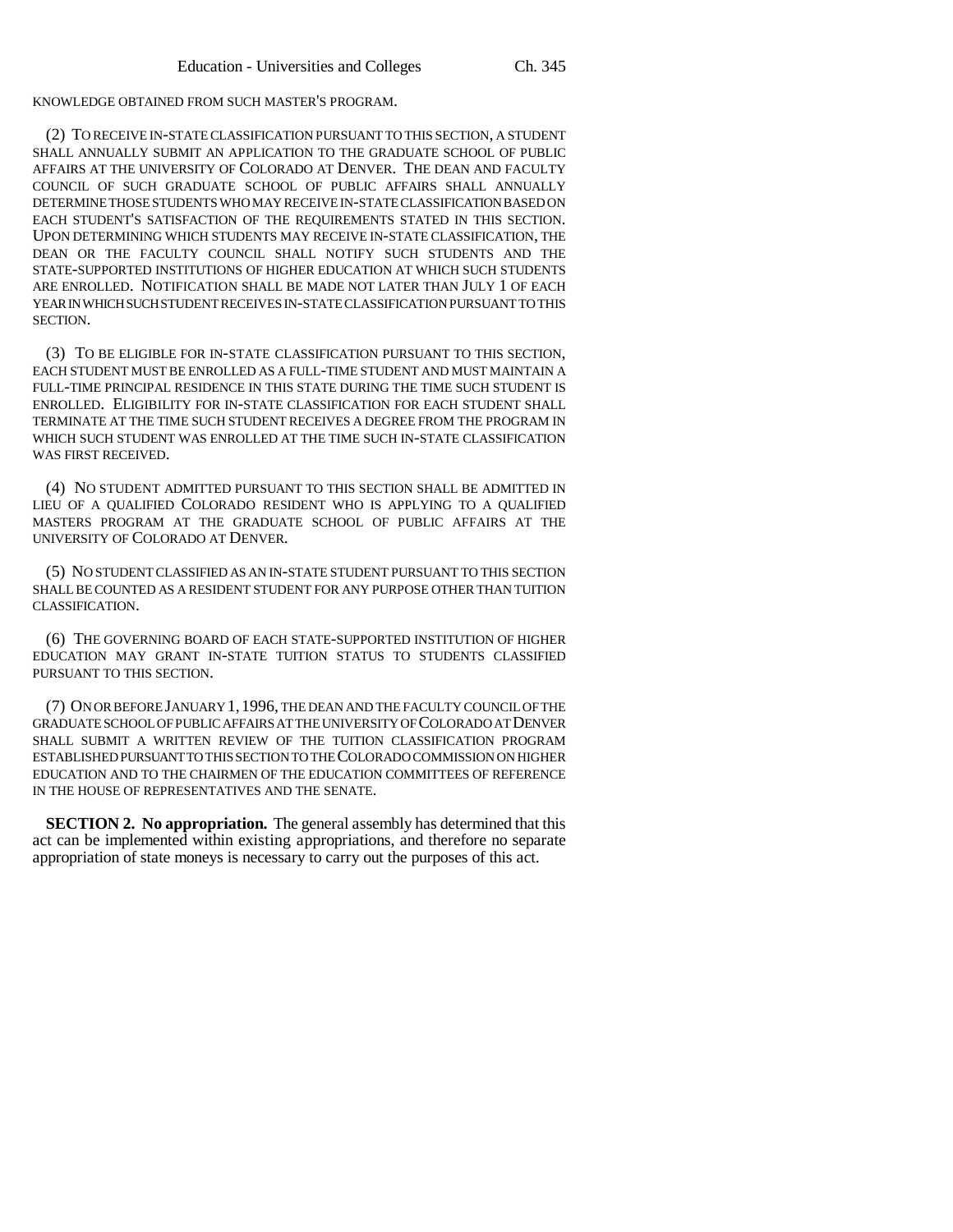KNOWLEDGE OBTAINED FROM SUCH MASTER'S PROGRAM.

(2) TO RECEIVE IN-STATE CLASSIFICATION PURSUANT TO THIS SECTION, A STUDENT SHALL ANNUALLY SUBMIT AN APPLICATION TO THE GRADUATE SCHOOL OF PUBLIC AFFAIRS AT THE UNIVERSITY OF COLORADO AT DENVER. THE DEAN AND FACULTY COUNCIL OF SUCH GRADUATE SCHOOL OF PUBLIC AFFAIRS SHALL ANNUALLY DETERMINE THOSE STUDENTS WHO MAY RECEIVE IN-STATE CLASSIFICATION BASED ON EACH STUDENT'S SATISFACTION OF THE REQUIREMENTS STATED IN THIS SECTION. UPON DETERMINING WHICH STUDENTS MAY RECEIVE IN-STATE CLASSIFICATION, THE DEAN OR THE FACULTY COUNCIL SHALL NOTIFY SUCH STUDENTS AND THE STATE-SUPPORTED INSTITUTIONS OF HIGHER EDUCATION AT WHICH SUCH STUDENTS ARE ENROLLED. NOTIFICATION SHALL BE MADE NOT LATER THAN JULY 1 OF EACH YEAR IN WHICH SUCH STUDENT RECEIVES IN-STATE CLASSIFICATION PURSUANT TO THIS SECTION.

(3) TO BE ELIGIBLE FOR IN-STATE CLASSIFICATION PURSUANT TO THIS SECTION, EACH STUDENT MUST BE ENROLLED AS A FULL-TIME STUDENT AND MUST MAINTAIN A FULL-TIME PRINCIPAL RESIDENCE IN THIS STATE DURING THE TIME SUCH STUDENT IS ENROLLED. ELIGIBILITY FOR IN-STATE CLASSIFICATION FOR EACH STUDENT SHALL TERMINATE AT THE TIME SUCH STUDENT RECEIVES A DEGREE FROM THE PROGRAM IN WHICH SUCH STUDENT WAS ENROLLED AT THE TIME SUCH IN-STATE CLASSIFICATION WAS FIRST RECEIVED.

(4) NO STUDENT ADMITTED PURSUANT TO THIS SECTION SHALL BE ADMITTED IN LIEU OF A QUALIFIED COLORADO RESIDENT WHO IS APPLYING TO A QUALIFIED MASTERS PROGRAM AT THE GRADUATE SCHOOL OF PUBLIC AFFAIRS AT THE UNIVERSITY OF COLORADO AT DENVER.

(5) NO STUDENT CLASSIFIED AS AN IN-STATE STUDENT PURSUANT TO THIS SECTION SHALL BE COUNTED AS A RESIDENT STUDENT FOR ANY PURPOSE OTHER THAN TUITION CLASSIFICATION.

(6) THE GOVERNING BOARD OF EACH STATE-SUPPORTED INSTITUTION OF HIGHER EDUCATION MAY GRANT IN-STATE TUITION STATUS TO STUDENTS CLASSIFIED PURSUANT TO THIS SECTION.

(7) ON OR BEFORE JANUARY 1,1996, THE DEAN AND THE FACULTY COUNCIL OF THE GRADUATE SCHOOL OF PUBLIC AFFAIRS AT THE UNIVERSITY OF COLORADO AT DENVER SHALL SUBMIT A WRITTEN REVIEW OF THE TUITION CLASSIFICATION PROGRAM ESTABLISHED PURSUANT TO THIS SECTION TO THE COLORADO COMMISSION ON HIGHER EDUCATION AND TO THE CHAIRMEN OF THE EDUCATION COMMITTEES OF REFERENCE IN THE HOUSE OF REPRESENTATIVES AND THE SENATE.

**SECTION 2. No appropriation.** The general assembly has determined that this act can be implemented within existing appropriations, and therefore no separate appropriation of state moneys is necessary to carry out the purposes of this act.